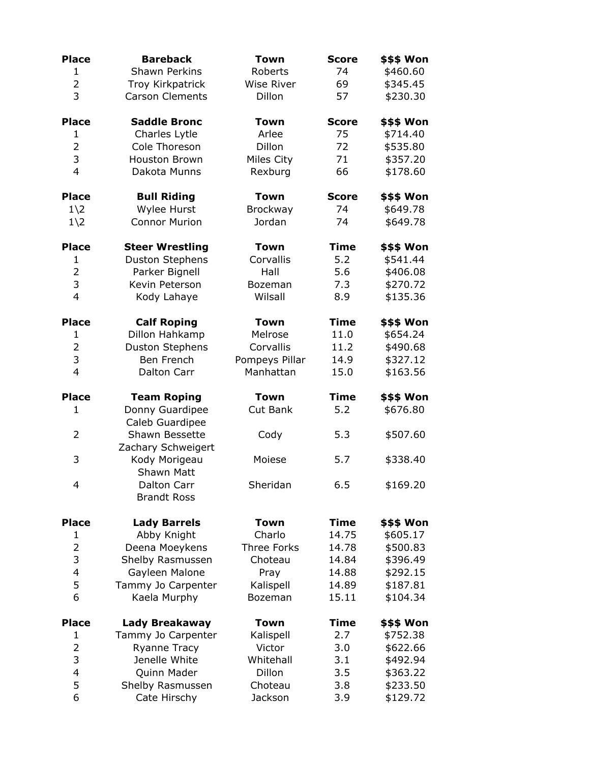| <b>Place</b>   | <b>Bareback</b>                      | <b>Town</b>       | <b>Score</b> | \$\$\$ Won |
|----------------|--------------------------------------|-------------------|--------------|------------|
| $\mathbf{1}$   | <b>Shawn Perkins</b>                 | Roberts           | 74           | \$460.60   |
| $\overline{2}$ | Troy Kirkpatrick                     | <b>Wise River</b> | 69           | \$345.45   |
| 3              | <b>Carson Clements</b>               | Dillon            | 57           | \$230.30   |
| <b>Place</b>   | <b>Saddle Bronc</b>                  | <b>Town</b>       | <b>Score</b> | \$\$\$ Won |
| 1              | Charles Lytle                        | Arlee             | 75           | \$714.40   |
| $\overline{2}$ | Cole Thoreson                        | Dillon            | 72           | \$535.80   |
| 3              | <b>Houston Brown</b>                 | Miles City        | 71           | \$357.20   |
| $\overline{4}$ | Dakota Munns                         | Rexburg           | 66           | \$178.60   |
| <b>Place</b>   | <b>Bull Riding</b>                   | <b>Town</b>       | <b>Score</b> | \$\$\$ Won |
| $1\angle 2$    | Wylee Hurst                          | Brockway          | 74           | \$649.78   |
| $1\angle 2$    | <b>Connor Murion</b>                 | Jordan            | 74           | \$649.78   |
| <b>Place</b>   | <b>Steer Wrestling</b>               | <b>Town</b>       | <b>Time</b>  | \$\$\$ Won |
| $\mathbf{1}$   | <b>Duston Stephens</b>               | Corvallis         | 5.2          | \$541.44   |
| $\overline{2}$ | Parker Bignell                       | Hall              | 5.6          | \$406.08   |
| 3              | Kevin Peterson                       | Bozeman           | 7.3          | \$270.72   |
| $\overline{4}$ | Kody Lahaye                          | Wilsall           | 8.9          | \$135.36   |
| <b>Place</b>   | <b>Calf Roping</b>                   | <b>Town</b>       | <b>Time</b>  | \$\$\$ Won |
| $\mathbf{1}$   | Dillon Hahkamp                       | Melrose           | 11.0         | \$654.24   |
| $\overline{2}$ | <b>Duston Stephens</b>               | Corvallis         | 11.2         | \$490.68   |
| 3              | Ben French                           | Pompeys Pillar    | 14.9         | \$327.12   |
| $\overline{4}$ | Dalton Carr                          | Manhattan         | 15.0         | \$163.56   |
| <b>Place</b>   | <b>Team Roping</b>                   | <b>Town</b>       | <b>Time</b>  | \$\$\$ Won |
| 1              | Donny Guardipee<br>Caleb Guardipee   | Cut Bank          | 5.2          | \$676.80   |
| 2              | Shawn Bessette<br>Zachary Schweigert | Cody              | 5.3          | \$507.60   |
| 3              | Kody Morigeau<br>Shawn Matt          | Moiese            | 5.7          | \$338.40   |
| $\overline{4}$ | Dalton Carr<br><b>Brandt Ross</b>    | Sheridan          | 6.5          | \$169.20   |
| <b>Place</b>   | <b>Lady Barrels</b>                  | <b>Town</b>       | <b>Time</b>  | \$\$\$ Won |
| $\mathbf{1}$   | Abby Knight                          | Charlo            | 14.75        | \$605.17   |
| $\overline{2}$ | Deena Moeykens                       | Three Forks       | 14.78        | \$500.83   |
| 3              | Shelby Rasmussen                     | Choteau           | 14.84        | \$396.49   |
| 4              | Gayleen Malone                       | Pray              | 14.88        | \$292.15   |
| 5              | Tammy Jo Carpenter                   | Kalispell         | 14.89        | \$187.81   |
| 6              | Kaela Murphy                         | Bozeman           | 15.11        | \$104.34   |
| <b>Place</b>   | <b>Lady Breakaway</b>                | <b>Town</b>       | <b>Time</b>  | \$\$\$ Won |
| 1              | Tammy Jo Carpenter                   | Kalispell         | 2.7          | \$752.38   |
| $\overline{2}$ | <b>Ryanne Tracy</b>                  | Victor            | 3.0          | \$622.66   |
| 3              | Jenelle White                        | Whitehall         | 3.1          | \$492.94   |
| $\overline{4}$ | Quinn Mader                          | Dillon            | 3.5          | \$363.22   |
| 5              | Shelby Rasmussen                     | Choteau           | 3.8          | \$233.50   |
| 6              | Cate Hirschy                         | Jackson           | 3.9          | \$129.72   |